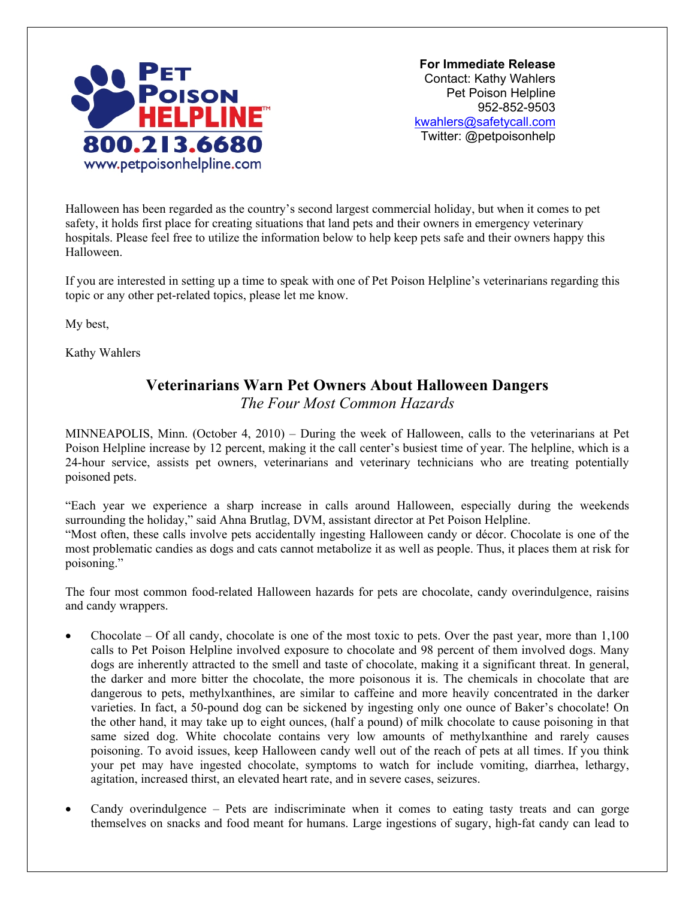

 **For Immediate Release**  Contact: Kathy Wahlers Pet Poison Helpline 952-852-9503 [kwahlers@safetycall.com](mailto:kwahlers@safetycall.com) Twitter: @petpoisonhelp

Halloween has been regarded as the country's second largest commercial holiday, but when it comes to pet safety, it holds first place for creating situations that land pets and their owners in emergency veterinary hospitals. Please feel free to utilize the information below to help keep pets safe and their owners happy this Halloween.

If you are interested in setting up a time to speak with one of Pet Poison Helpline's veterinarians regarding this topic or any other pet-related topics, please let me know.

My best,

Kathy Wahlers

## **Veterinarians Warn Pet Owners About Halloween Dangers**

*The Four Most Common Hazards* 

MINNEAPOLIS, Minn. (October 4, 2010) – During the week of Halloween, calls to the veterinarians at Pet Poison Helpline increase by 12 percent, making it the call center's busiest time of year. The helpline, which is a 24-hour service, assists pet owners, veterinarians and veterinary technicians who are treating potentially poisoned pets.

"Each year we experience a sharp increase in calls around Halloween, especially during the weekends surrounding the holiday," said Ahna Brutlag, DVM, assistant director at Pet Poison Helpline. "Most often, these calls involve pets accidentally ingesting Halloween candy or décor. Chocolate is one of the most problematic candies as dogs and cats cannot metabolize it as well as people. Thus, it places them at risk for poisoning."

The four most common food-related Halloween hazards for pets are chocolate, candy overindulgence, raisins and candy wrappers.

- Chocolate Of all candy, chocolate is one of the most toxic to pets. Over the past year, more than 1,100 calls to Pet Poison Helpline involved exposure to chocolate and 98 percent of them involved dogs. Many dogs are inherently attracted to the smell and taste of chocolate, making it a significant threat. In general, the darker and more bitter the chocolate, the more poisonous it is. The chemicals in chocolate that are dangerous to pets, methylxanthines, are similar to caffeine and more heavily concentrated in the darker varieties. In fact, a 50-pound dog can be sickened by ingesting only one ounce of Baker's chocolate! On the other hand, it may take up to eight ounces, (half a pound) of milk chocolate to cause poisoning in that same sized dog. White chocolate contains very low amounts of methylxanthine and rarely causes poisoning. To avoid issues, keep Halloween candy well out of the reach of pets at all times. If you think your pet may have ingested chocolate, symptoms to watch for include vomiting, diarrhea, lethargy, agitation, increased thirst, an elevated heart rate, and in severe cases, seizures.
- Candy overindulgence Pets are indiscriminate when it comes to eating tasty treats and can gorge themselves on snacks and food meant for humans. Large ingestions of sugary, high-fat candy can lead to